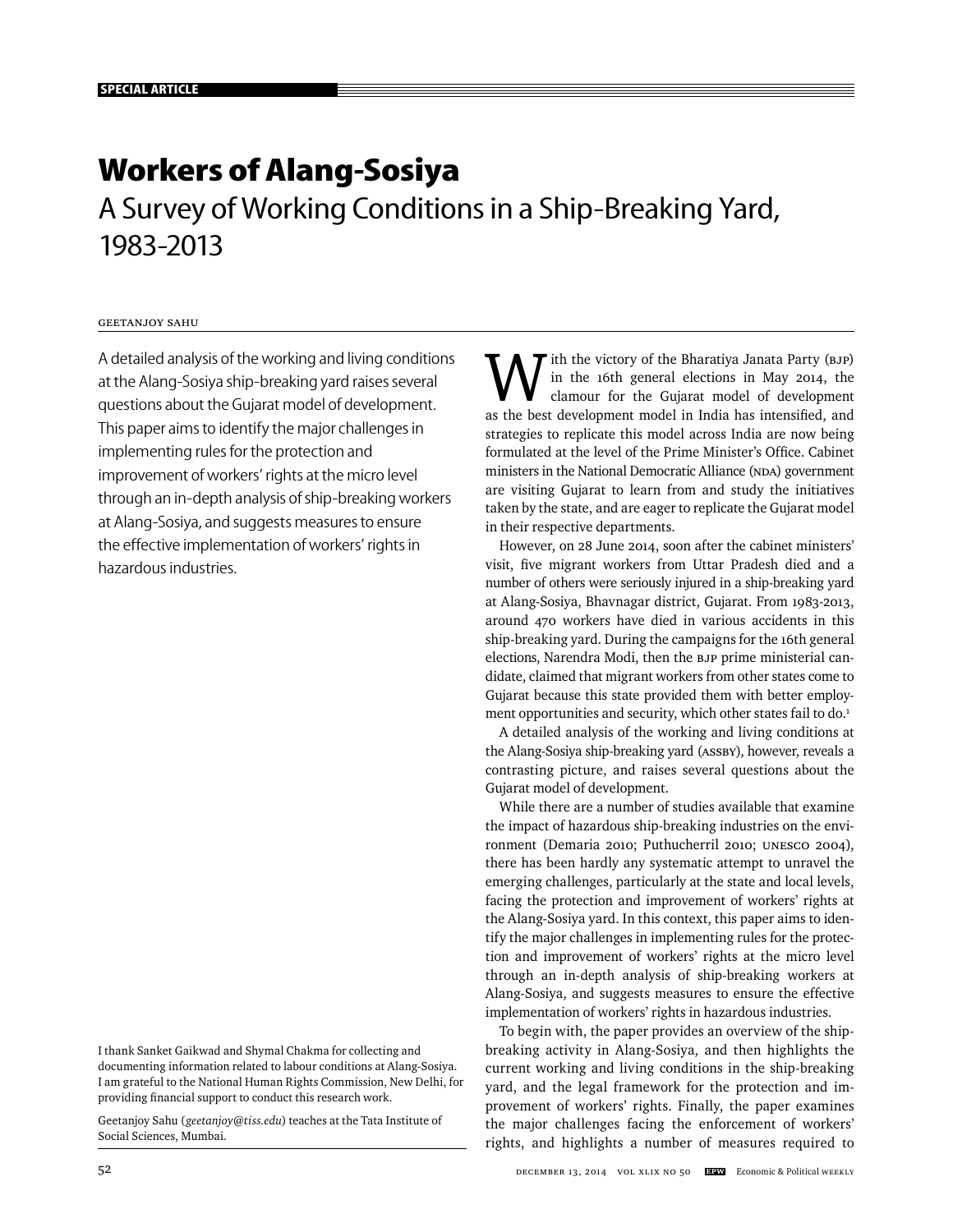# **Workers of Alang-Sosiya**

A Survey of Working Conditions in a Ship-Breaking Yard, 1983-2013

# Geetanjoy Sahu

A detailed analysis of the working and living conditions at the Alang-Sosiya ship-breaking yard raises several questions about the Gujarat model of development. This paper aims to identify the major challenges in implementing rules for the protection and improvement of workers' rights at the micro level through an in-depth analysis of ship-breaking workers at Alang-Sosiya, and suggests measures to ensure the effective implementation of workers' rights in hazardous industries.

I thank Sanket Gaikwad and Shymal Chakma for collecting and documenting information related to labour conditions at Alang-Sosiya. I am grateful to the National Human Rights Commission, New Delhi, for providing financial support to conduct this research work.

Geetanjoy Sahu (*geetanjoy@tiss.edu*) teaches at the Tata Institute of Social Sciences, Mumbai.

" ith the victory of the Bharatiya Janata Party (BJP) in the 16th general elections in May 2014, the clamour for the Gujarat model of development as the best development model in India has intensified, and strategies to replicate this model across India are now being formulated at the level of the Prime Minister's Office. Cabinet ministers in the National Democratic Alliance (NDA) government are visiting Gujarat to learn from and study the initiatives taken by the state, and are eager to replicate the Gujarat model in their respective departments.

However, on 28 June 2014, soon after the cabinet ministers' visit, five migrant workers from Uttar Pradesh died and a number of others were seriously injured in a ship-breaking yard at Alang-Sosiya, Bhavnagar district, Gujarat. From 1983-2013, around 470 workers have died in various accidents in this ship-breaking yard. During the campaigns for the 16th general elections, Narendra Modi, then the BJP prime ministerial candidate, claimed that migrant workers from other states come to Gujarat because this state provided them with better employment opportunities and security, which other states fail to do.<sup>1</sup>

A detailed analysis of the working and living conditions at the Alang-Sosiya ship-breaking yard (ASSBY), however, reveals a contrasting picture, and raises several questions about the Gujarat model of development.

While there are a number of studies available that examine the impact of hazardous ship-breaking industries on the environment (Demaria 2010; Puthucherril 2010; UNESCO 2004), there has been hardly any systematic attempt to unravel the emerging challenges, particularly at the state and local levels, facing the protection and improvement of workers' rights at the Alang-Sosiya yard. In this context, this paper aims to identify the major challenges in implementing rules for the protection and improvement of workers' rights at the micro level through an in-depth analysis of ship-breaking workers at Alang-Sosiya, and suggests measures to ensure the effective implementation of workers' rights in hazardous industries.

To begin with, the paper provides an overview of the shipbreaking activity in Alang-Sosiya, and then highlights the current working and living conditions in the ship-breaking yard, and the legal framework for the protection and improvement of workers' rights. Finally, the paper examines the major challenges facing the enforcement of workers' rights, and highlights a number of measures required to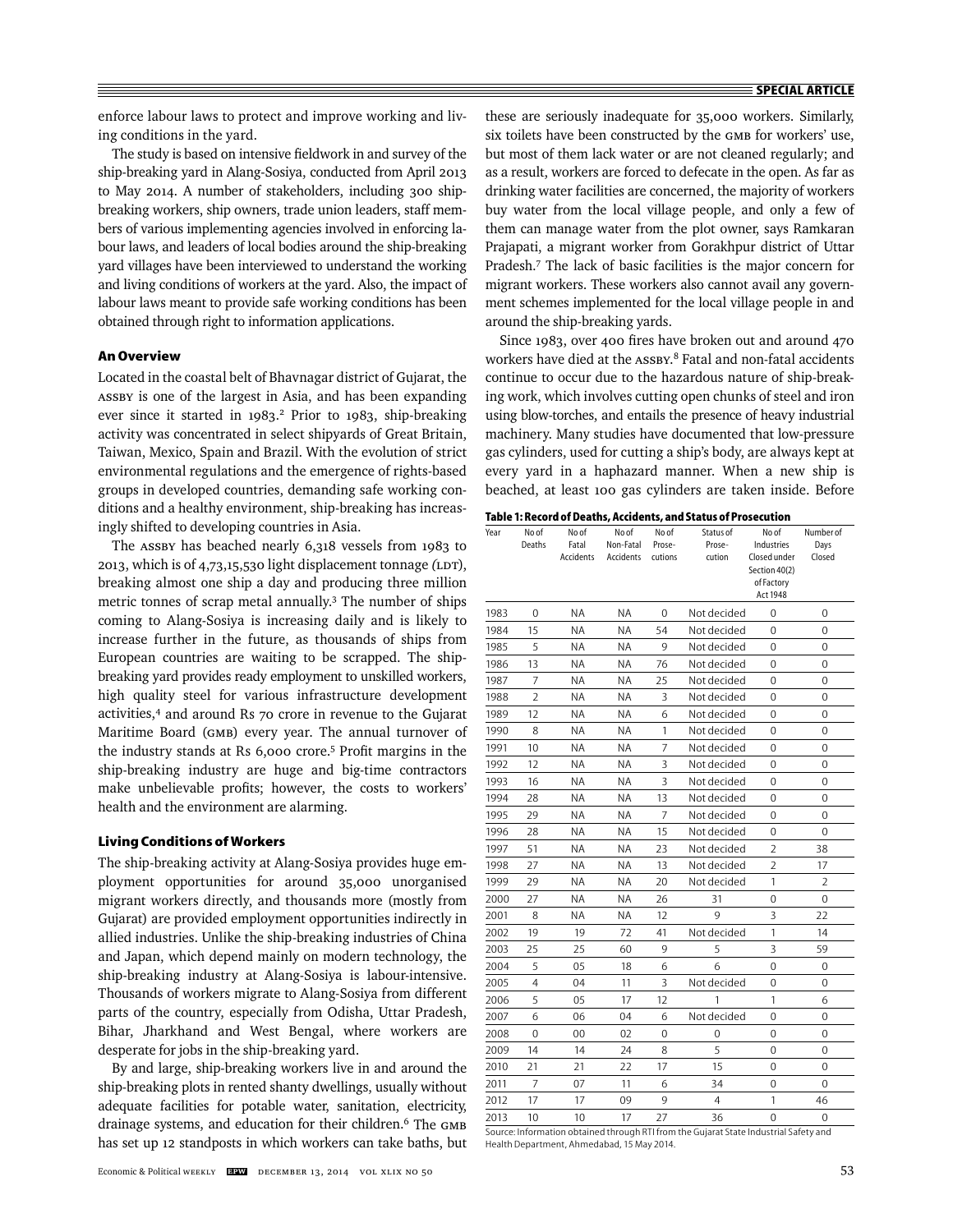enforce labour laws to protect and improve working and living conditions in the yard.

The study is based on intensive fieldwork in and survey of the ship-breaking yard in Alang-Sosiya, conducted from April 2013 to May 2014. A number of stakeholders, including 300 shipbreaking workers, ship owners, trade union leaders, staff members of various implementing agencies involved in enforcing labour laws, and leaders of local bodies around the ship-breaking yard villages have been interviewed to understand the working and living conditions of workers at the yard. Also, the impact of labour laws meant to provide safe working conditions has been obtained through right to information applications.

#### **An Overview**

Located in the coastal belt of Bhavnagar district of Gujarat, the ASSBY is one of the largest in Asia, and has been expanding ever since it started in 1983.<sup>2</sup> Prior to 1983, ship-breaking activity was concentrated in select shipyards of Great Britain, Taiwan, Mexico, Spain and Brazil. With the evolution of strict environmental regulations and the emergence of rights-based groups in developed countries, demanding safe working conditions and a healthy environment, ship-breaking has increasingly shifted to developing countries in Asia.

The ASSBY has beached nearly 6,318 vessels from 1983 to 2013, which is of 4,73,15,530 light displacement tonnage *(*LDT), breaking almost one ship a day and producing three million metric tonnes of scrap metal annually.3 The number of ships coming to Alang-Sosiya is increasing daily and is likely to increase further in the future, as thousands of ships from European countries are waiting to be scrapped. The shipbreaking yard provides ready employment to unskilled workers, high quality steel for various infrastructure development activities,4 and around Rs 70 crore in revenue to the Gujarat Maritime Board (GMB) every year. The annual turnover of the industry stands at Rs 6,000 crore.<sup>5</sup> Profit margins in the ship-breaking industry are huge and big-time contractors make unbelievable profits; however, the costs to workers' health and the environment are alarming.

#### **Living Conditions of Workers**

The ship-breaking activity at Alang-Sosiya provides huge employment opportunities for around 35,000 unorganised migrant workers directly, and thousands more (mostly from Gujarat) are provided employment opportunities indirectly in allied industries. Unlike the ship-breaking industries of China and Japan, which depend mainly on modern technology, the ship-breaking industry at Alang-Sosiya is labour-intensive. Thousands of workers migrate to Alang-Sosiya from different parts of the country, especially from Odisha, Uttar Pradesh, Bihar, Jharkhand and West Bengal, where workers are desperate for jobs in the ship-breaking yard.

By and large, ship-breaking workers live in and around the ship-breaking plots in rented shanty dwellings, usually without adequate facilities for potable water, sanitation, electricity, drainage systems, and education for their children.6 The GMB has set up 12 standposts in which workers can take baths, but these are seriously inadequate for 35,000 workers. Similarly, six toilets have been constructed by the GMB for workers' use, but most of them lack water or are not cleaned regularly; and as a result, workers are forced to defecate in the open. As far as drinking water facilities are concerned, the majority of workers buy water from the local village people, and only a few of them can manage water from the plot owner, says Ramkaran Prajapati, a migrant worker from Gorakhpur district of Uttar Pradesh.7 The lack of basic facilities is the major concern for migrant workers. These workers also cannot avail any government schemes implemented for the local village people in and around the ship-breaking yards.

Since 1983, over 400 fires have broken out and around 470 workers have died at the ASSBY.<sup>8</sup> Fatal and non-fatal accidents continue to occur due to the hazardous nature of ship-breaking work, which involves cutting open chunks of steel and iron using blow-torches, and entails the presence of heavy industrial machinery. Many studies have documented that low-pressure gas cylinders, used for cutting a ship's body, are always kept at every yard in a haphazard manner. When a new ship is beached, at least 100 gas cylinders are taken inside. Before

| Year | No of<br>Deaths | No of<br>Fatal<br>Accidents | No of<br>Non-Fatal<br>Accidents | Noof<br>Prose-<br>cutions | Status of<br>Prose-<br>cution | No of<br>Industries<br>Closed under<br>Section 40(2)<br>of Factory<br>Act 1948 | Number of<br>Days<br>Closed |
|------|-----------------|-----------------------------|---------------------------------|---------------------------|-------------------------------|--------------------------------------------------------------------------------|-----------------------------|
| 1983 | 0               | <b>NA</b>                   | <b>NA</b>                       | $\Omega$                  | Not decided                   | 0                                                                              | 0                           |
| 1984 | 15              | ΝA                          | ΝA                              | 54                        | Not decided                   | 0                                                                              | $\Omega$                    |
| 1985 | 5               | ΝA                          | <b>NA</b>                       | 9                         | Not decided                   | 0                                                                              | 0                           |
| 1986 | 13              | ΝA                          | <b>NA</b>                       | 76                        | Not decided                   | 0                                                                              | 0                           |
| 1987 | 7               | <b>NA</b>                   | <b>NA</b>                       | 25                        | Not decided                   | 0                                                                              | $\Omega$                    |
| 1988 | 2               | ΝA                          | <b>NA</b>                       | 3                         | Not decided                   | 0                                                                              | 0                           |
| 1989 | 12              | ΝA                          | ΝA                              | 6                         | Not decided                   | 0                                                                              | 0                           |
| 1990 | 8               | <b>NA</b>                   | <b>NA</b>                       | 1                         | Not decided                   | 0                                                                              | 0                           |
| 1991 | 10              | ΝA                          | ΝA                              | 7                         | Not decided                   | 0                                                                              | 0                           |
| 1992 | 12              | ΝA                          | ΝA                              | 3                         | Not decided                   | 0                                                                              | $\Omega$                    |
| 1993 | 16              | <b>NA</b>                   | <b>NA</b>                       | 3                         | Not decided                   | 0                                                                              | 0                           |
| 1994 | 28              | <b>NA</b>                   | <b>NA</b>                       | 13                        | Not decided                   | 0                                                                              | 0                           |
| 1995 | 29              | ΝA                          | ΝA                              | 7                         | Not decided                   | 0                                                                              | 0                           |
| 1996 | 28              | ΝA                          | <b>NA</b>                       | 15                        | Not decided                   | 0                                                                              | 0                           |
| 1997 | 51              | <b>NA</b>                   | <b>NA</b>                       | 23                        | Not decided                   | $\overline{2}$                                                                 | 38                          |
| 1998 | 27              | ΝA                          | ΝA                              | 13                        | Not decided                   | 2                                                                              | 17                          |
| 1999 | 29              | ΝA                          | <b>NA</b>                       | 20                        | Not decided                   | 1                                                                              | $\overline{2}$              |
| 2000 | 27              | <b>NA</b>                   | ΝA                              | 26                        | 31                            | 0                                                                              | $\Omega$                    |
| 2001 | 8               | <b>NA</b>                   | <b>NA</b>                       | 12                        | 9                             | 3                                                                              | 22                          |
| 2002 | 19              | 19                          | 72                              | 41                        | Not decided                   | 1                                                                              | 14                          |
| 2003 | 25              | 25                          | 60                              | 9                         | 5                             | 3                                                                              | 59                          |
| 2004 | 5               | 05                          | 18                              | 6                         | 6                             | 0                                                                              | 0                           |
| 2005 | 4               | 04                          | 11                              | 3                         | Not decided                   | 0                                                                              | 0                           |
| 2006 | 5               | 05                          | 17                              | 12                        | 1                             | 1                                                                              | 6                           |
| 2007 | 6               | 06                          | 04                              | 6                         | Not decided                   | 0                                                                              | 0                           |
| 2008 | 0               | 00                          | 02                              | 0                         | 0                             | 0                                                                              | 0                           |
| 2009 | 14              | 14                          | 24                              | 8                         | 5                             | 0                                                                              | $\Omega$                    |
| 2010 | 21              | 21                          | 22                              | 17                        | 15                            | 0                                                                              | 0                           |
| 2011 | 7               | 07                          | 11                              | 6                         | 34                            | 0                                                                              | $\Omega$                    |
| 2012 | 17              | 17                          | 09                              | 9                         | 4                             | 1                                                                              | 46                          |
| 2013 | 10              | 10                          | 17                              | 27                        | 36                            | $\Omega$                                                                       | 0                           |

Source: Information obtained through RTI from the Gujarat State Industrial Safety and Health Department, Ahmedabad, 15 May 2014.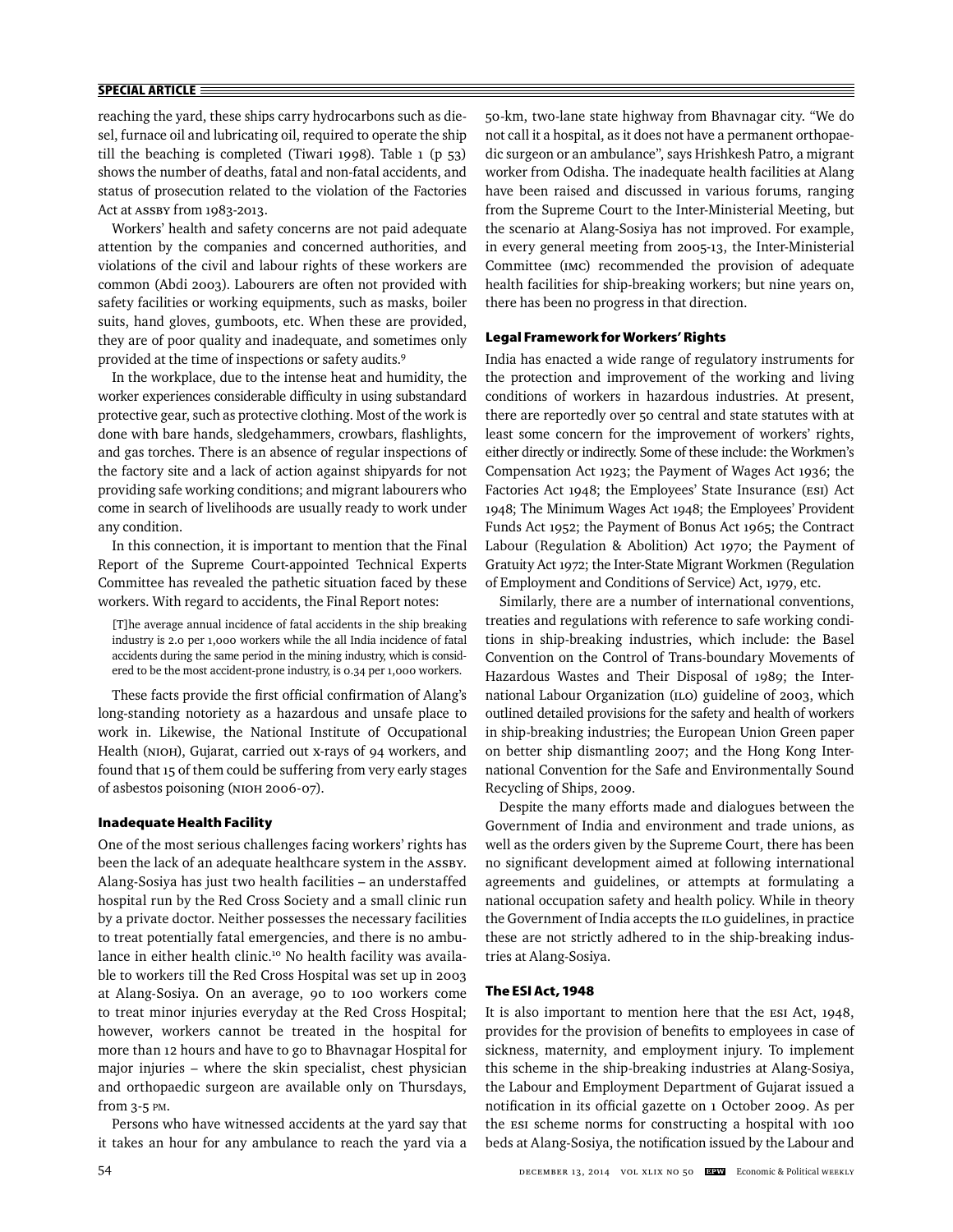# **SPECIAL ARTICLE**

reaching the yard, these ships carry hydrocarbons such as diesel, furnace oil and lubricating oil, required to operate the ship till the beaching is completed (Tiwari 1998). Table 1 (p 53) shows the number of deaths, fatal and non-fatal accidents, and status of prosecution related to the violation of the Factories Act at ASSBY from 1983-2013.

Workers' health and safety concerns are not paid adequate attention by the companies and concerned authorities, and violations of the civil and labour rights of these workers are common (Abdi 2003). Labourers are often not provided with safety facilities or working equipments, such as masks, boiler suits, hand gloves, gumboots, etc. When these are provided, they are of poor quality and inadequate, and sometimes only provided at the time of inspections or safety audits.9

In the workplace, due to the intense heat and humidity, the worker experiences considerable difficulty in using substandard protective gear, such as protective clothing. Most of the work is done with bare hands, sledgehammers, crowbars, flashlights, and gas torches. There is an absence of regular inspections of the factory site and a lack of action against shipyards for not providing safe working conditions; and migrant labourers who come in search of livelihoods are usually ready to work under any condition.

In this connection, it is important to mention that the Final Report of the Supreme Court-appointed Technical Experts Committee has revealed the pathetic situation faced by these workers. With regard to accidents, the Final Report notes:

[T]he average annual incidence of fatal accidents in the ship breaking industry is 2.0 per 1,000 workers while the all India incidence of fatal accidents during the same period in the mining industry, which is considered to be the most accident-prone industry, is 0.34 per 1,000 workers.

These facts provide the first official confirmation of Alang's long-standing notoriety as a hazardous and unsafe place to work in. Likewise, the National Institute of Occupational Health (NIOH), Gujarat, carried out x-rays of 94 workers, and found that 15 of them could be suffering from very early stages of asbestos poisoning (NIOH 2006-07).

## **Inadequate Health Facility**

One of the most serious challenges facing workers' rights has been the lack of an adequate healthcare system in the ASSBY. Alang-Sosiya has just two health facilities – an understaffed hospital run by the Red Cross Society and a small clinic run by a private doctor. Neither possesses the necessary facilities to treat potentially fatal emergencies, and there is no ambulance in either health clinic.<sup>10</sup> No health facility was available to workers till the Red Cross Hospital was set up in 2003 at Alang-Sosiya. On an average, 90 to 100 workers come to treat minor injuries everyday at the Red Cross Hospital; however, workers cannot be treated in the hospital for more than 12 hours and have to go to Bhavnagar Hospital for major injuries – where the skin specialist, chest physician and orthopaedic surgeon are available only on Thursdays, from 3-5 PM.

Persons who have witnessed accidents at the yard say that it takes an hour for any ambulance to reach the yard via a

50-km, two-lane state highway from Bhavnagar city. "We do not call it a hospital, as it does not have a permanent orthopaedic surgeon or an ambulance", says Hrishkesh Patro, a migrant worker from Odisha. The inadequate health facilities at Alang have been raised and discussed in various forums, ranging from the Supreme Court to the Inter-Ministerial Meeting, but the scenario at Alang-Sosiya has not improved. For example, in every general meeting from 2005-13, the Inter-Ministerial Committee (IMC) recommended the provision of adequate health facilities for ship-breaking workers; but nine years on, there has been no progress in that direction.

## **Legal Framework for Workers' Rights**

India has enacted a wide range of regulatory instruments for the protection and improvement of the working and living conditions of workers in hazardous industries. At present, there are reportedly over 50 central and state statutes with at least some concern for the improvement of workers' rights, either directly or indirectly. Some of these include: the Workmen's Compensation Act 1923; the Payment of Wages Act 1936; the Factories Act 1948; the Employees' State Insurance (ESI) Act 1948; The Minimum Wages Act 1948; the Employees' Provident Funds Act 1952; the Payment of Bonus Act 1965; the Contract Labour (Regulation & Abolition) Act 1970; the Payment of Gratuity Act 1972; the Inter-State Migrant Workmen (Regulation of Employment and Conditions of Service) Act, 1979, etc.

Similarly, there are a number of international conventions, treaties and regulations with reference to safe working conditions in ship-breaking industries, which include: the Basel Convention on the Control of Trans-boundary Movements of Hazardous Wastes and Their Disposal of 1989; the International Labour Organization (ILO) guideline of 2003, which outlined detailed provisions for the safety and health of workers in ship-breaking industries; the European Union Green paper on better ship dismantling 2007; and the Hong Kong International Convention for the Safe and Environmentally Sound Recycling of Ships, 2009.

Despite the many efforts made and dialogues between the Government of India and environment and trade unions, as well as the orders given by the Supreme Court, there has been no significant development aimed at following international agreements and guidelines, or attempts at formulating a national occupation safety and health policy. While in theory the Government of India accepts the ILO guidelines, in practice these are not strictly adhered to in the ship-breaking industries at Alang-Sosiya.

# **The ESI Act, 1948**

It is also important to mention here that the ESI Act, 1948, provides for the provision of benefits to employees in case of sickness, maternity, and employment injury. To implement this scheme in the ship-breaking industries at Alang-Sosiya, the Labour and Employment Department of Gujarat issued a notification in its official gazette on 1 October 2009. As per the ESI scheme norms for constructing a hospital with 100 beds at Alang-Sosiya, the notification issued by the Labour and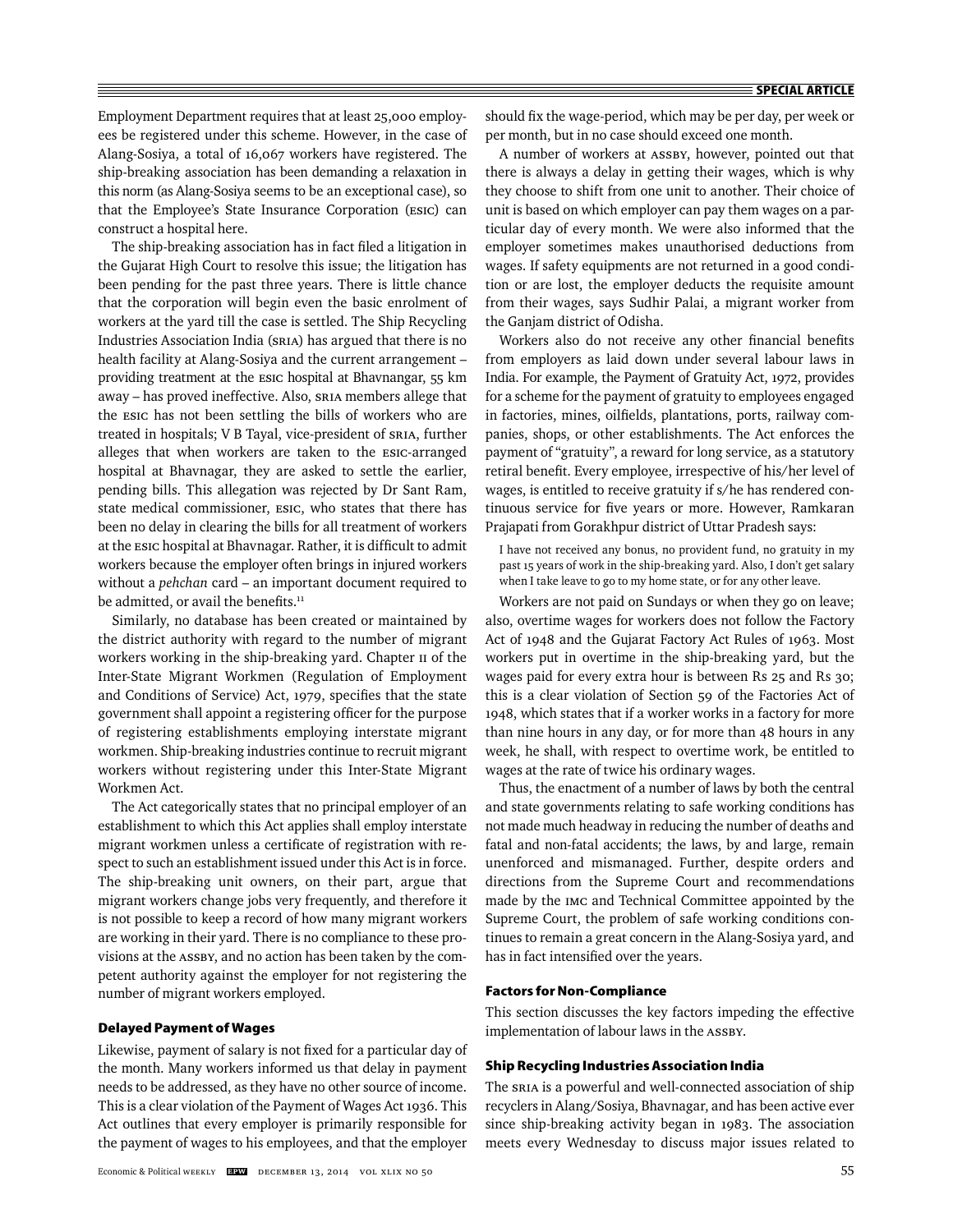Employment Department requires that at least 25,000 employees be registered under this scheme. However, in the case of Alang-Sosiya, a total of 16,067 workers have registered. The ship-breaking association has been demanding a relaxation in this norm (as Alang-Sosiya seems to be an exceptional case), so that the Employee's State Insurance Corporation (ESIC) can construct a hospital here.

The ship-breaking association has in fact filed a litigation in the Gujarat High Court to resolve this issue; the litigation has been pending for the past three years. There is little chance that the corporation will begin even the basic enrolment of workers at the yard till the case is settled. The Ship Recycling Industries Association India (SRIA) has argued that there is no health facility at Alang-Sosiya and the current arrangement – providing treatment at the ESIC hospital at Bhavnangar, 55 km away – has proved ineffective. Also, SRIA members allege that the ESIC has not been settling the bills of workers who are treated in hospitals; V B Tayal, vice-president of SRIA, further alleges that when workers are taken to the ESIC-arranged hospital at Bhavnagar, they are asked to settle the earlier, pending bills. This allegation was rejected by Dr Sant Ram, state medical commissioner, ESIC, who states that there has been no delay in clearing the bills for all treatment of workers at the ESIC hospital at Bhavnagar. Rather, it is difficult to admit workers because the employer often brings in injured workers without a *pehchan* card – an important document required to be admitted, or avail the benefits.<sup>11</sup>

Similarly, no database has been created or maintained by the district authority with regard to the number of migrant workers working in the ship-breaking yard. Chapter II of the Inter-State Migrant Workmen (Regulation of Employment and Conditions of Service) Act, 1979, specifies that the state government shall appoint a registering officer for the purpose of registering establishments employing interstate migrant workmen. Ship-breaking industries continue to recruit migrant workers without registering under this Inter-State Migrant Workmen Act.

The Act categorically states that no principal employer of an establishment to which this Act applies shall employ interstate migrant workmen unless a certificate of registration with respect to such an establishment issued under this Act is in force. The ship-breaking unit owners, on their part, argue that migrant workers change jobs very frequently, and therefore it is not possible to keep a record of how many migrant workers are working in their yard. There is no compliance to these provisions at the ASSBY, and no action has been taken by the competent authority against the employer for not registering the number of migrant workers employed.

#### **Delayed Payment of Wages**

Likewise, payment of salary is not fixed for a particular day of the month. Many workers informed us that delay in payment needs to be addressed, as they have no other source of income. This is a clear violation of the Payment of Wages Act 1936. This Act outlines that every employer is primarily responsible for the payment of wages to his employees, and that the employer

should fix the wage-period, which may be per day, per week or per month, but in no case should exceed one month.

A number of workers at ASSBY, however, pointed out that there is always a delay in getting their wages, which is why they choose to shift from one unit to another. Their choice of unit is based on which employer can pay them wages on a particular day of every month. We were also informed that the employer sometimes makes unauthorised deductions from wages. If safety equipments are not returned in a good condition or are lost, the employer deducts the requisite amount from their wages, says Sudhir Palai, a migrant worker from the Ganjam district of Odisha.

Workers also do not receive any other financial benefits from employers as laid down under several labour laws in India. For example, the Payment of Gratuity Act, 1972, provides for a scheme for the payment of gratuity to employees engaged in factories, mines, oilfields, plantations, ports, railway companies, shops, or other establishments. The Act enforces the payment of "gratuity", a reward for long service, as a statutory retiral benefit. Every employee, irrespective of his/her level of wages, is entitled to receive gratuity if s/he has rendered continuous service for five years or more. However, Ramkaran Prajapati from Gorakhpur district of Uttar Pradesh says:

I have not received any bonus, no provident fund, no gratuity in my past 15 years of work in the ship-breaking yard. Also, I don't get salary when I take leave to go to my home state, or for any other leave.

Workers are not paid on Sundays or when they go on leave; also, overtime wages for workers does not follow the Factory Act of 1948 and the Gujarat Factory Act Rules of 1963. Most workers put in overtime in the ship-breaking yard, but the wages paid for every extra hour is between Rs 25 and Rs 30; this is a clear violation of Section 59 of the Factories Act of 1948, which states that if a worker works in a factory for more than nine hours in any day, or for more than 48 hours in any week, he shall, with respect to overtime work, be entitled to wages at the rate of twice his ordinary wages.

Thus, the enactment of a number of laws by both the central and state governments relating to safe working conditions has not made much headway in reducing the number of deaths and fatal and non-fatal accidents; the laws, by and large, remain unenforced and mismanaged. Further, despite orders and directions from the Supreme Court and recommendations made by the IMC and Technical Committee appointed by the Supreme Court, the problem of safe working conditions continues to remain a great concern in the Alang-Sosiya yard, and has in fact intensified over the years.

#### **Factors for Non-Compliance**

This section discusses the key factors impeding the effective implementation of labour laws in the ASSBY.

#### **Ship Recycling Industries Association India**

The SRIA is a powerful and well-connected association of ship recyclers in Alang/Sosiya, Bhavnagar, and has been active ever since ship-breaking activity began in 1983. The association meets every Wednesday to discuss major issues related to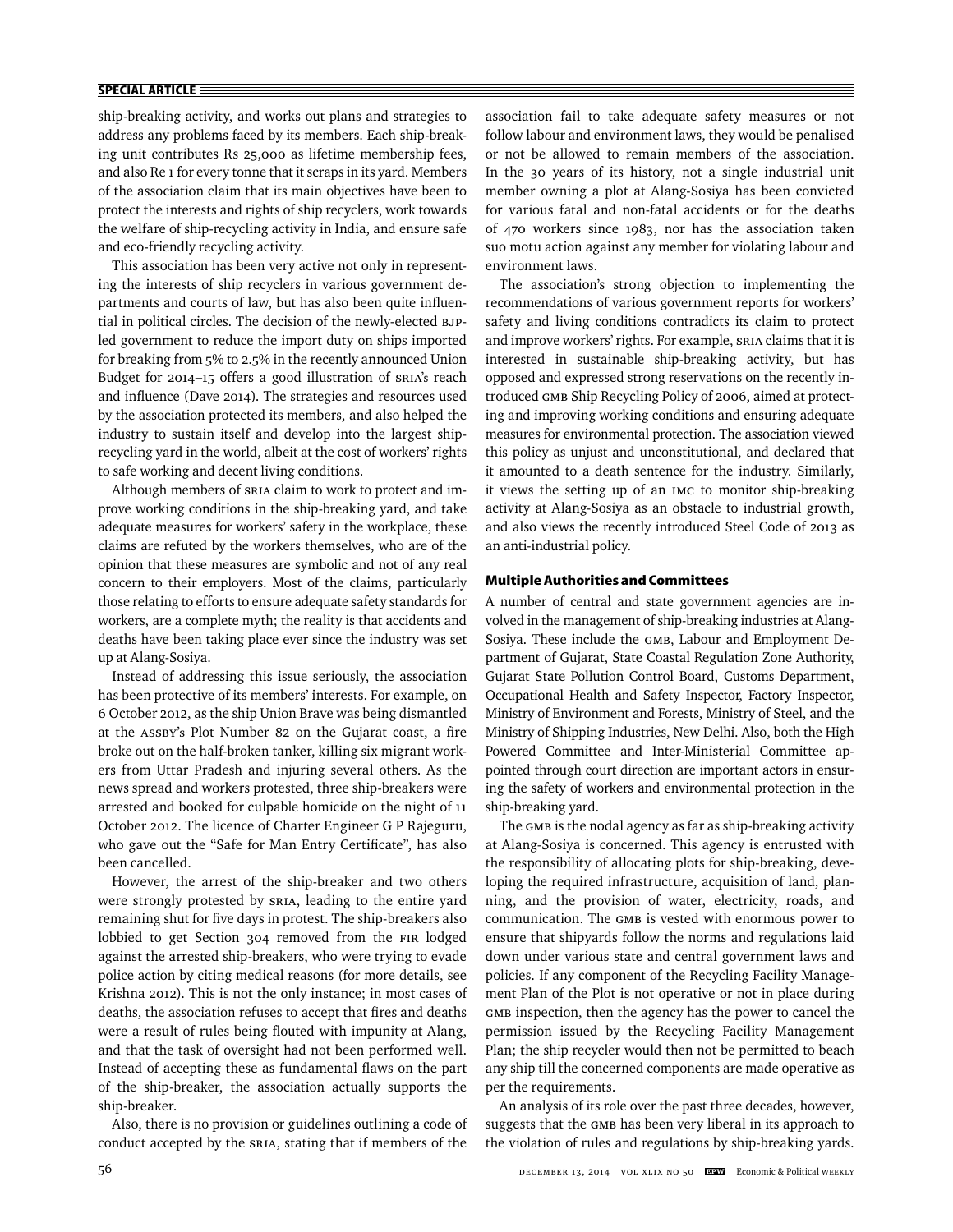# **SPECIAL ARTICLE**

ship-breaking activity, and works out plans and strategies to address any problems faced by its members. Each ship-breaking unit contributes Rs 25,000 as lifetime membership fees, and also Re 1 for every tonne that it scraps in its yard. Members of the association claim that its main objectives have been to protect the interests and rights of ship recyclers, work towards the welfare of ship-recycling activity in India, and ensure safe and eco-friendly recycling activity.

This association has been very active not only in representing the interests of ship recyclers in various government departments and courts of law, but has also been quite influential in political circles. The decision of the newly-elected BJPled government to reduce the import duty on ships imported for breaking from 5% to 2.5% in the recently announced Union Budget for 2014–15 offers a good illustration of SRIA's reach and influence (Dave 2014). The strategies and resources used by the association protected its members, and also helped the industry to sustain itself and develop into the largest shiprecycling yard in the world, albeit at the cost of workers' rights to safe working and decent living conditions.

Although members of SRIA claim to work to protect and improve working conditions in the ship-breaking yard, and take adequate measures for workers' safety in the workplace, these claims are refuted by the workers themselves, who are of the opinion that these measures are symbolic and not of any real concern to their employers. Most of the claims, particularly those relating to efforts to ensure adequate safety standards for workers, are a complete myth; the reality is that accidents and deaths have been taking place ever since the industry was set up at Alang-Sosiya.

Instead of addressing this issue seriously, the association has been protective of its members' interests. For example, on 6 October 2012, as the ship Union Brave was being dismantled at the ASSBY's Plot Number 82 on the Gujarat coast, a fire broke out on the half-broken tanker, killing six migrant workers from Uttar Pradesh and injuring several others. As the news spread and workers protested, three ship-breakers were arrested and booked for culpable homicide on the night of 11 October 2012. The licence of Charter Engineer G P Rajeguru, who gave out the "Safe for Man Entry Certificate", has also been cancelled.

However, the arrest of the ship-breaker and two others were strongly protested by SRIA, leading to the entire yard remaining shut for five days in protest. The ship-breakers also lobbied to get Section 304 removed from the FIR lodged against the arrested ship-breakers, who were trying to evade police action by citing medical reasons (for more details, see Krishna 2012). This is not the only instance; in most cases of deaths, the association refuses to accept that fires and deaths were a result of rules being flouted with impunity at Alang, and that the task of oversight had not been performed well. Instead of accepting these as fundamental flaws on the part of the ship-breaker, the association actually supports the ship-breaker.

Also, there is no provision or guidelines outlining a code of conduct accepted by the SRIA, stating that if members of the

association fail to take adequate safety measures or not follow labour and environment laws, they would be penalised or not be allowed to remain members of the association. In the 30 years of its history, not a single industrial unit member owning a plot at Alang-Sosiya has been convicted for various fatal and non-fatal accidents or for the deaths of 470 workers since 1983, nor has the association taken suo motu action against any member for violating labour and environment laws.

The association's strong objection to implementing the re commendations of various government reports for workers' safety and living conditions contradicts its claim to protect and improve workers' rights. For example, SRIA claims that it is interested in sustainable ship-breaking activity, but has opposed and expressed strong reservations on the recently introduced GMB Ship Recycling Policy of 2006, aimed at protecting and improving working conditions and ensuring adequate measures for environmental protection. The association viewed this policy as unjust and unconstitutional, and declared that it amounted to a death sentence for the industry. Similarly, it views the setting up of an IMC to monitor ship-breaking activity at Alang-Sosiya as an obstacle to industrial growth, and also views the recently introduced Steel Code of 2013 as an anti-industrial policy.

# **Multiple Authorities and Committees**

A number of central and state government agencies are involved in the management of ship-breaking industries at Alang-Sosiya. These include the GMB, Labour and Employment Department of Gujarat, State Coastal Regulation Zone Authority, Gujarat State Pollution Control Board, Customs Department, Occupational Health and Safety Inspector, Factory Inspector, Ministry of Environment and Forests, Ministry of Steel, and the Ministry of Shipping Industries, New Delhi. Also, both the High Powered Committee and Inter-Ministerial Committee appointed through court direction are important actors in ensuring the safety of workers and environmental protection in the ship-breaking yard.

The GMB is the nodal agency as far as ship-breaking activity at Alang-Sosiya is concerned. This agency is entrusted with the responsibility of allocating plots for ship-breaking, developing the required infrastructure, acquisition of land, planning, and the provision of water, electricity, roads, and communication. The GMB is vested with enormous power to ensure that shipyards follow the norms and regulations laid down under various state and central government laws and policies. If any component of the Recycling Facility Management Plan of the Plot is not operative or not in place during GMB inspection, then the agency has the power to cancel the permission issued by the Recycling Facility Management Plan; the ship recycler would then not be permitted to beach any ship till the concerned components are made operative as per the requirements.

An analysis of its role over the past three decades, however, suggests that the GMB has been very liberal in its approach to the violation of rules and regulations by ship-breaking yards.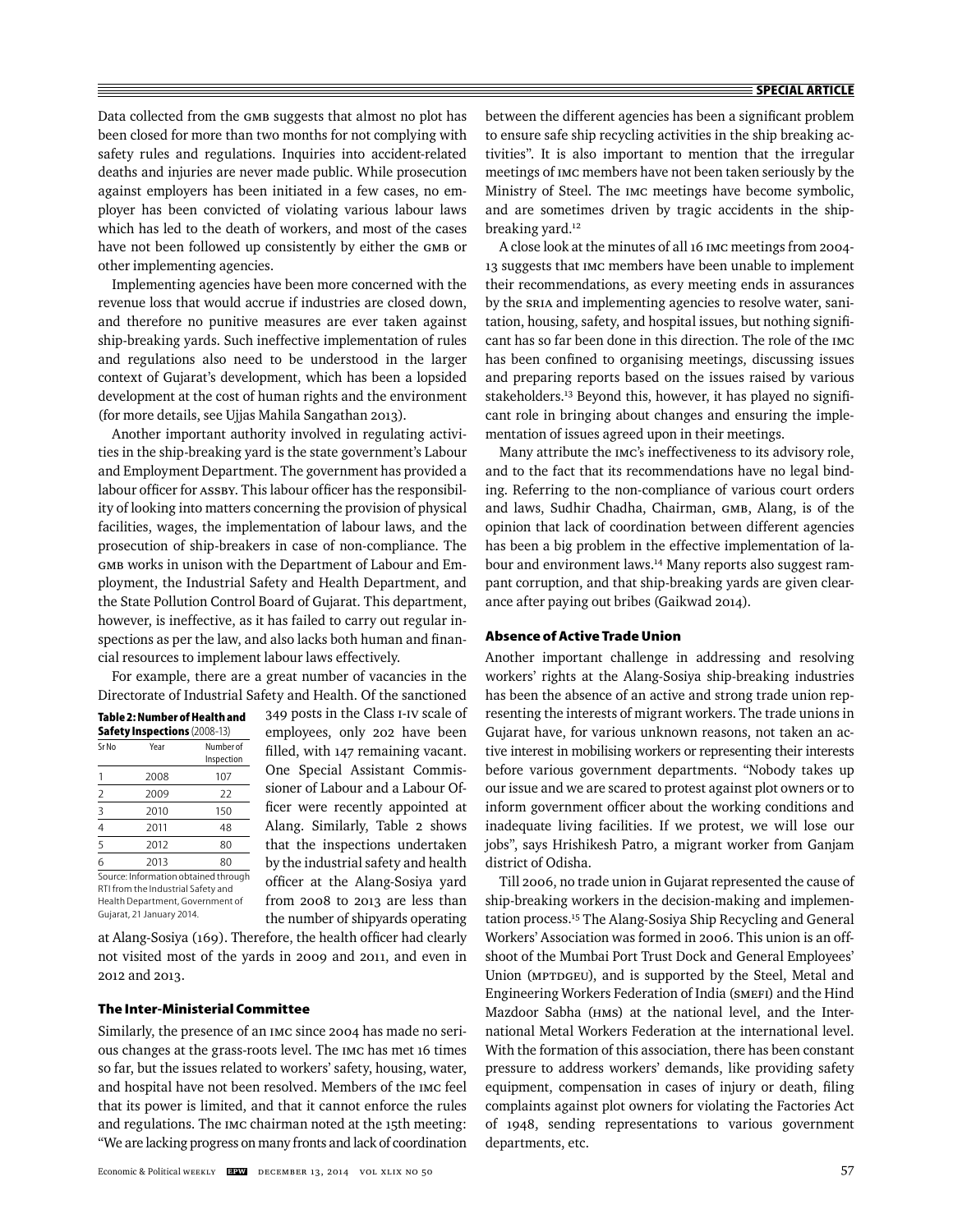Data collected from the GMB suggests that almost no plot has been closed for more than two months for not complying with safety rules and regulations. Inquiries into accident-related deaths and injuries are never made public. While prosecution against employers has been initiated in a few cases, no employer has been convicted of violating various labour laws which has led to the death of workers, and most of the cases have not been followed up consistently by either the GMB or other implementing agencies.

Implementing agencies have been more concerned with the revenue loss that would accrue if industries are closed down, and therefore no punitive measures are ever taken against ship-breaking yards. Such ineffective implementation of rules and regulations also need to be understood in the larger context of Gujarat's development, which has been a lopsided development at the cost of human rights and the environment (for more details, see Ujjas Mahila Sangathan 2013).

Another important authority involved in regulating activities in the ship-breaking yard is the state government's Labour and Employment Department. The government has provided a labour officer for ASSBY. This labour officer has the responsibility of looking into matters concerning the provision of physical facilities, wages, the implementation of labour laws, and the prosecution of ship-breakers in case of non-compliance. The GMB works in unison with the Department of Labour and Employment, the Industrial Safety and Health Department, and the State Pollution Control Board of Gujarat. This department, however, is ineffective, as it has failed to carry out regular inspections as per the law, and also lacks both human and financial resources to implement labour laws effectively.

For example, there are a great number of vacancies in the Directorate of Industrial Safety and Health. Of the sanctioned

|                | Year | Number of<br>Inspection |
|----------------|------|-------------------------|
| 1              | 2008 | 107                     |
| $\overline{2}$ | 2009 | 22                      |
|                | 2010 | 150                     |
| $\frac{3}{4}$  | 2011 | 48                      |
| 5              | 2012 | 80                      |
| 6              | 2013 | 80                      |

Gujarat, 21 January 2014.

349 posts in the Class I-IV scale of employees, only 202 have been filled, with 147 remaining vacant. One Special Assistant Commissioner of Labour and a Labour Officer were recently appointed at Alang. Similarly, Table 2 shows that the inspections undertaken by the industrial safety and health officer at the Alang-Sosiya yard from 2008 to 2013 are less than the number of shipyards operating

at Alang-Sosiya (169). Therefore, the health officer had clearly not visited most of the yards in 2009 and 2011, and even in 2012 and 2013.

# **The Inter-Ministerial Committee**

Similarly, the presence of an IMC since 2004 has made no serious changes at the grass-roots level. The IMC has met 16 times so far, but the issues related to workers' safety, housing, water, and hospital have not been resolved. Members of the IMC feel that its power is limited, and that it cannot enforce the rules and regulations. The IMC chairman noted at the 15th meeting: "We are lacking progress on many fronts and lack of coordination

between the different agencies has been a significant problem to ensure safe ship recycling activities in the ship breaking activities". It is also important to mention that the irregular meetings of IMC members have not been taken seriously by the Ministry of Steel. The IMC meetings have become symbolic, and are sometimes driven by tragic accidents in the shipbreaking yard.<sup>12</sup>

A close look at the minutes of all 16 IMC meetings from 2004- 13 suggests that IMC members have been unable to implement their recommendations, as every meeting ends in assurances by the SRIA and implementing agencies to resolve water, sanitation, housing, safety, and hospital issues, but nothing signifi cant has so far been done in this direction. The role of the IMC has been confined to organising meetings, discussing issues and preparing reports based on the issues raised by various stakeholders.<sup>13</sup> Beyond this, however, it has played no significant role in bringing about changes and ensuring the implementation of issues agreed upon in their meetings.

Many attribute the IMC's ineffectiveness to its advisory role, and to the fact that its recommendations have no legal binding. Referring to the non-compliance of various court orders and laws, Sudhir Chadha, Chairman, GMB, Alang, is of the opinion that lack of coordination between different agencies has been a big problem in the effective implementation of labour and environment laws.<sup>14</sup> Many reports also suggest rampant corruption, and that ship-breaking yards are given clearance after paying out bribes (Gaikwad 2014).

#### **Absence of Active Trade Union**

Another important challenge in addressing and resolving workers' rights at the Alang-Sosiya ship-breaking industries has been the absence of an active and strong trade union representing the interests of migrant workers. The trade unions in Gujarat have, for various unknown reasons, not taken an active interest in mobilising workers or representing their interests before various government departments. "Nobody takes up our issue and we are scared to protest against plot owners or to inform government officer about the working conditions and inadequate living facilities. If we protest, we will lose our jobs", says Hrishikesh Patro, a migrant worker from Ganjam district of Odisha.

Till 2006, no trade union in Gujarat represented the cause of ship-breaking workers in the decision-making and implementation process.15 The Alang-Sosiya Ship Recycling and General Workers' Association was formed in 2006. This union is an offshoot of the Mumbai Port Trust Dock and General Employees' Union (MPTDGEU), and is supported by the Steel, Metal and Engineering Workers Federation of India (SMEFI) and the Hind Mazdoor Sabha (HMS) at the national level, and the International Metal Workers Federation at the international level. With the formation of this association, there has been constant pressure to address workers' demands, like providing safety equipment, compensation in cases of injury or death, filing complaints against plot owners for violating the Factories Act of 1948, sending representations to various government departments, etc.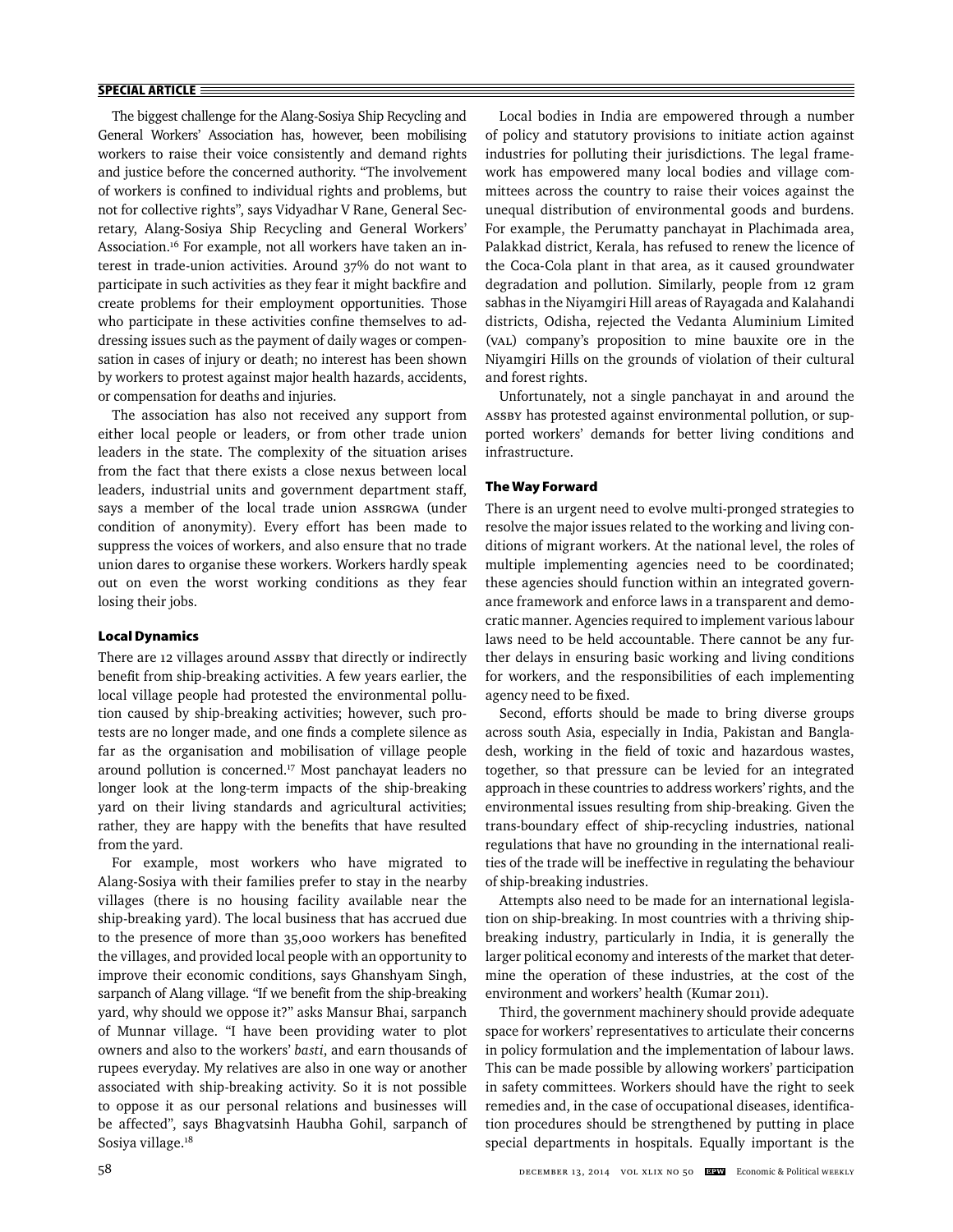#### **SPECIAL ARTICLE**

The biggest challenge for the Alang-Sosiya Ship Recycling and General Workers' Association has, however, been mobilising workers to raise their voice consistently and demand rights and justice before the concerned authority. "The involvement of workers is confined to individual rights and problems, but not for collective rights", says Vidyadhar V Rane, General Secretary, Alang-Sosiya Ship Recycling and General Workers' Association.<sup>16</sup> For example, not all workers have taken an interest in trade-union activities. Around 37% do not want to participate in such activities as they fear it might backfire and create problems for their employment opportunities. Those who participate in these activities confine themselves to addressing issues such as the payment of daily wages or compensation in cases of injury or death; no interest has been shown by workers to protest against major health hazards, accidents, or compensation for deaths and injuries.

The association has also not received any support from either local people or leaders, or from other trade union leaders in the state. The complexity of the situation arises from the fact that there exists a close nexus between local leaders, industrial units and government department staff, says a member of the local trade union ASSRGWA (under condition of anonymity). Every effort has been made to suppress the voices of workers, and also ensure that no trade union dares to organise these workers. Workers hardly speak out on even the worst working conditions as they fear losing their jobs.

#### **Local Dynamics**

There are 12 villages around ASSBY that directly or indirectly benefit from ship-breaking activities. A few years earlier, the local village people had protested the environmental pollution caused by ship-breaking activities; however, such protests are no longer made, and one finds a complete silence as far as the organisation and mobilisation of village people around pollution is concerned.<sup>17</sup> Most panchayat leaders no longer look at the long-term impacts of the ship-breaking yard on their living standards and agricultural activities; rather, they are happy with the benefits that have resulted from the yard.

For example, most workers who have migrated to Alang-Sosiya with their families prefer to stay in the nearby villages (there is no housing facility available near the ship-breaking yard). The local business that has accrued due to the presence of more than 35,000 workers has benefited the villages, and provided local people with an opportunity to improve their economic conditions, says Ghanshyam Singh, sarpanch of Alang village. "If we benefit from the ship-breaking yard, why should we oppose it?" asks Mansur Bhai, sarpanch of Munnar village. "I have been providing water to plot owners and also to the workers' *basti*, and earn thousands of rupees everyday. My relatives are also in one way or another associated with ship-breaking activity. So it is not possible to oppose it as our personal relations and businesses will be affected", says Bhagvatsinh Haubha Gohil, sarpanch of Sosiya village.<sup>18</sup>

Local bodies in India are empowered through a number of policy and statutory provisions to initiate action against industries for polluting their jurisdictions. The legal framework has empowered many local bodies and village committees across the country to raise their voices against the unequal distribution of environmental goods and burdens. For example, the Perumatty panchayat in Plachimada area, Palakkad district, Kerala, has refused to renew the licence of the Coca-Cola plant in that area, as it caused groundwater degradation and pollution. Similarly, people from 12 gram sabhas in the Niyamgiri Hill areas of Rayagada and Kalahandi districts, Odisha, rejected the Vedanta Aluminium Limited (VAL) company's proposition to mine bauxite ore in the Niyamgiri Hills on the grounds of violation of their cultural and forest rights.

Unfortunately, not a single panchayat in and around the ASSBY has protested against environmental pollution, or supported workers' demands for better living conditions and infrastructure.

# **The Way Forward**

There is an urgent need to evolve multi-pronged strategies to resolve the major issues related to the working and living conditions of migrant workers. At the national level, the roles of multiple implementing agencies need to be coordinated; these agencies should function within an integrated governance framework and enforce laws in a transparent and democratic manner. Agencies required to implement various labour laws need to be held accountable. There cannot be any further delays in ensuring basic working and living conditions for workers, and the responsibilities of each implementing agency need to be fixed.

Second, efforts should be made to bring diverse groups across south Asia, especially in India, Pakistan and Bangladesh, working in the field of toxic and hazardous wastes, together, so that pressure can be levied for an integrated approach in these countries to address workers' rights, and the environmental issues resulting from ship-breaking. Given the trans-boundary effect of ship-recycling industries, national regulations that have no grounding in the international realities of the trade will be ineffective in regulating the behaviour of ship-breaking industries.

Attempts also need to be made for an international legislation on ship-breaking. In most countries with a thriving shipbreaking industry, particularly in India, it is generally the larger political economy and interests of the market that determine the operation of these industries, at the cost of the environ ment and workers' health (Kumar 2011).

Third, the government machinery should provide adequate space for workers' representatives to articulate their concerns in policy formulation and the implementation of labour laws. This can be made possible by allowing workers' participation in safety committees. Workers should have the right to seek remedies and, in the case of occupational diseases, identification procedures should be strengthened by putting in place special departments in hospitals. Equally important is the